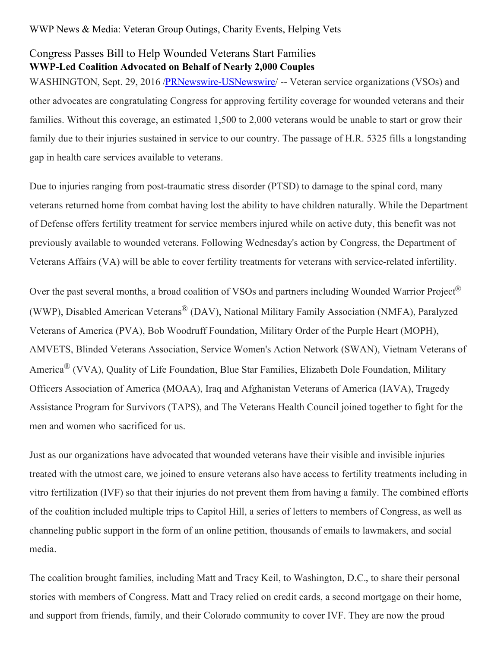## Congress Passes Bill to Help Wounded Veterans Start Families **WWP-Led Coalition Advocated on Behalf of Nearly 2,000 Couples**

WASHINGTON, Sept. 29, 2016 [/PRNewswire-USNewswire](http://www.prnewswire.com/)/ -- Veteran service organizations (VSOs) and other advocates are congratulating Congress for approving fertility coverage for wounded veterans and their families. Without this coverage, an estimated 1,500 to 2,000 veterans would be unable to start or grow their family due to their injuries sustained in service to our country. The passage of H.R. 5325 fills a longstanding gap in health care services available to veterans.

Due to injuries ranging from post-traumatic stress disorder (PTSD) to damage to the spinal cord, many veterans returned home from combat having lost the ability to have children naturally. While the Department of Defense offers fertility treatment for service members injured while on active duty, this benefit was not previously available to wounded veterans. Following Wednesday's action by Congress, the Department of Veterans Affairs (VA) will be able to cover fertility treatments for veterans with service-related infertility.

Over the past several months, a broad coalition of VSOs and partners including Wounded Warrior Project<sup>®</sup> (WWP), Disabled American Veterans® (DAV), National Military Family Association (NMFA), Paralyzed Veterans of America (PVA), Bob Woodruff Foundation, Military Order of the Purple Heart (MOPH), AMVETS, Blinded Veterans Association, Service Women's Action Network (SWAN), Vietnam Veterans of America® (VVA), Quality of Life Foundation, Blue Star Families, Elizabeth Dole Foundation, Military Officers Association of America (MOAA), Iraq and Afghanistan Veterans of America (IAVA), Tragedy Assistance Program for Survivors (TAPS), and The Veterans Health Council joined together to fight for the men and women who sacrificed for us.

Just as our organizations have advocated that wounded veterans have their visible and invisible injuries treated with the utmost care, we joined to ensure veterans also have access to fertility treatments including in vitro fertilization (IVF) so that their injuries do not prevent them from having a family. The combined efforts of the coalition included multiple trips to Capitol Hill, a series of letters to members of Congress, as well as channeling public support in the form of an online petition, thousands of emails to lawmakers, and social media.

The coalition brought families, including Matt and Tracy Keil, to Washington, D.C., to share their personal stories with members of Congress. Matt and Tracy relied on credit cards, a second mortgage on their home, and support from friends, family, and their Colorado community to cover IVF. They are now the proud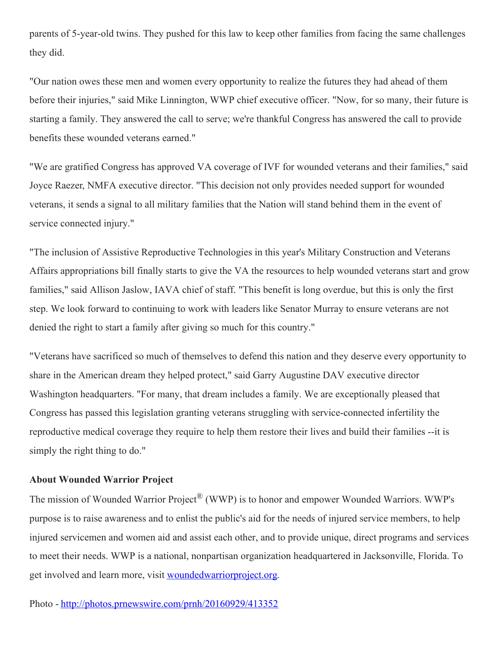parents of 5-year-old twins. They pushed for this law to keep other families from facing the same challenges they did.

"Our nation owes these men and women every opportunity to realize the futures they had ahead of them before their injuries," said Mike Linnington, WWP chief executive officer. "Now, for so many, their future is starting a family. They answered the call to serve; we're thankful Congress has answered the call to provide benefits these wounded veterans earned."

"We are gratified Congress has approved VA coverage of IVF for wounded veterans and their families," said Joyce Raezer, NMFA executive director. "This decision not only provides needed support for wounded veterans, it sends a signal to all military families that the Nation will stand behind them in the event of service connected injury."

"The inclusion of Assistive Reproductive Technologies in this year's Military Construction and Veterans Affairs appropriations bill finally starts to give the VA the resources to help wounded veterans start and grow families," said Allison Jaslow, IAVA chief of staff. "This benefit is long overdue, but this is only the first step. We look forward to continuing to work with leaders like Senator Murray to ensure veterans are not denied the right to start a family after giving so much for this country."

"Veterans have sacrificed so much of themselves to defend this nation and they deserve every opportunity to share in the American dream they helped protect," said Garry Augustine DAV executive director Washington headquarters. "For many, that dream includes a family. We are exceptionally pleased that Congress has passed this legislation granting veterans struggling with service-connected infertility the reproductive medical coverage they require to help them restore their lives and build their families --it is simply the right thing to do."

## **About Wounded Warrior Project**

The mission of Wounded Warrior Project<sup>®</sup> (WWP) is to honor and empower Wounded Warriors. WWP's purpose is to raise awareness and to enlist the public's aid for the needs of injured service members, to help injured servicemen and women aid and assist each other, and to provide unique, direct programs and services to meet their needs. WWP is a national, nonpartisan organization headquartered in Jacksonville, Florida. To get involved and learn more, visit [woundedwarriorproject.org](https://goo.gl/QYbvpg).